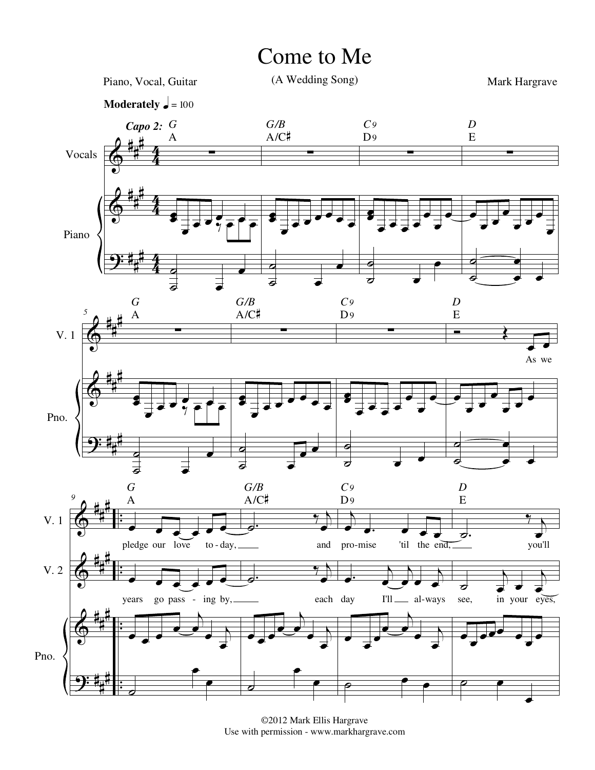## Come to Me



©2012 Mark Ellis Hargrave Use with permission - www.markhargrave.com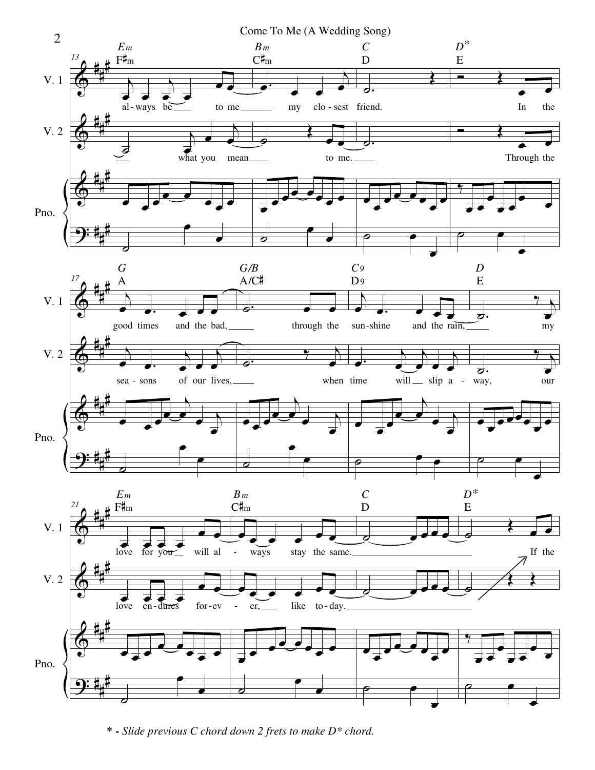

**\* -** *Slide previous C chord down 2 frets to make D\* chord.*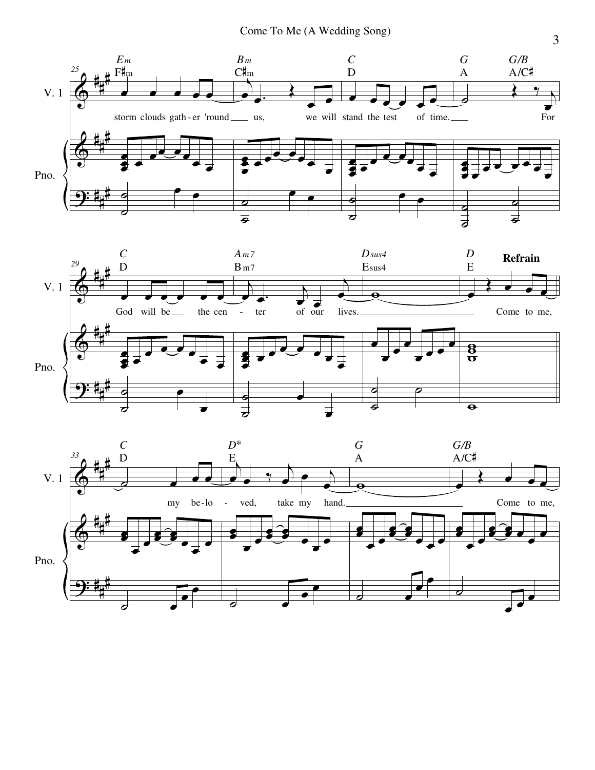



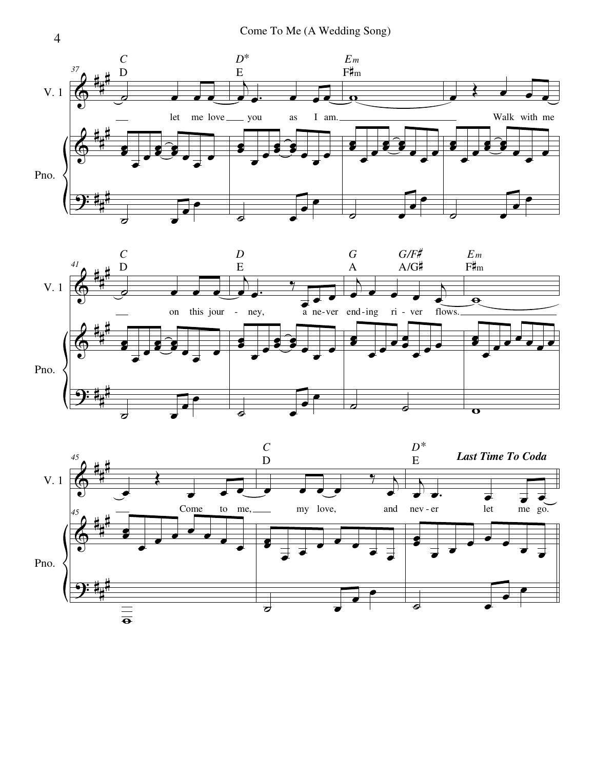





4